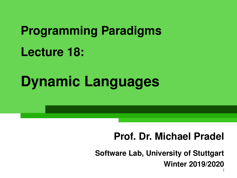# **Programming Paradigms Lecture 18:**

# **Dynamic Languages**

# **Prof. Dr. Michael Pradel**

1 **Software Lab, University of Stuttgart Winter 2019/2020**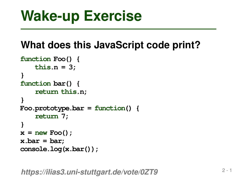```
Wake-up Exercise<br>
What does this JavaScript code print?<br>
function Foo() {<br>
this.n = 3;<br>
}<br>
function bar() {<br>
return this.n;<br>
}<br>
Foo.prototype.bar = function() {<br>
return 7;<br>
x = new Foo();<br>
x.bar = bar;<br>
console.log(x.bar
function Foo() {
       this.n = 3;
}
function bar() {
        return this.n;
}
Foo.prototype.bar = function() {
       return 7;
}
x = new Foo();
x.bar = bar;
console.log(x.bar());
```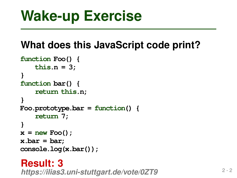```
Wake-up Exercise<br>
What does this JavaScript code print?<br>
function Foo() {<br>
this.n = 3;<br>
}<br>
function bar() {<br>
return this.n;<br>
}<br>
Foo.prototype.bar = function() {<br>
return 7;<br>
x = new Foo();<br>
x.bar = bar;<br>
console.log(x.bar
function Foo() {
       this.n = 3;
}
function bar() {
        return this.n;
}
Foo.prototype.bar = function() {
       return 7;
}
x = new Foo();
x.bar = bar;
console.log(x.bar());
```
# **Result: 3**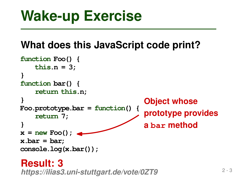```
Exercise<br>
What does this JavaScript code print?<br>
https:n = 3;<br>
<br>
https:n = 3;<br>
https:nimetion bar()<br>
neturn this.n;<br>
<br>
blication bar()<br>
c neturn 7;<br>
c new Foo();<br>
a bar method<br>
a bar method<br>
a
function Foo() {
      this.n = 3;
}
function bar() {
      return this.n;
}
Foo.prototype.bar = function() {
      return 7;
}
x = new Foo();
x.bar = bar;
console.log(x.bar());
                                                        Object whose
                                                        prototype provides
                                                        a bar method
```
## **Result: 3**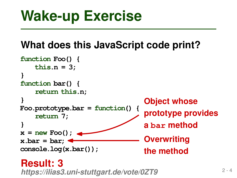```
Exercise<br>
What does this JavaScript code print?<br>
function Foo() {<br>
this.n = 3;<br>
}<br>
function bar() {<br>
perturn this.n;<br>
}<br>
Proo.prototype.bar = function() { pototype provides<br>
prototype provides<br>
x.bar = bar;<br>
x = new Foo(
function Foo() {
      this.n = 3;
}
function bar() {
      return this.n;
}
Foo.prototype.bar = function() {
      return 7;
}
x = new Foo();
x.bar = bar;
console.log(x.bar());
                                                        Object whose
                                                        prototype provides
                                                        a bar method
                                                        Overwriting
                                                        the method
```
## **Result: 3**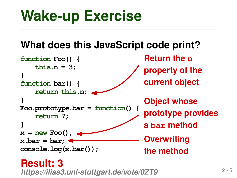```
Exercise<br>
What does this JavaScript code print?<br>
function Foo() {<br>
https://ilias.net/<br>
https://ilias3.uni-stuttgart.de/vote/0ZT9<br>
https://ilias3.uni-stuttgart.de/vote/0ZT9<br>
example.log(x.bar());<br>
https://ilias3.
function Foo() {
      this.n = 3;
}
function bar() {
      return this.n;
}
Foo.prototype.bar = function() {
      return 7;
}
x = new Foo();
x.bar = bar;
console.log(x.bar());
                                                   Object whose
                                                   prototype provides
                                                   a bar method
                                                   Overwriting
                                                   the method
                                                   Return the n
                                                   property of the
                                                   current object
```
**Result: 3**<br>https://ilias3.uni-stuttgart.de/vote/0ZT9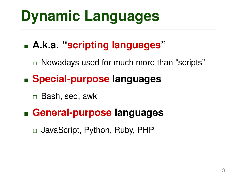# **Dynamic Languages**

# **A.k.a. "scripting languages"**

 $\Box$  Nowadays used for much more than "scripts"

# **Special-purpose languages**

Bash, sed, awk

## **General-purpose languages**

JavaScript, Python, Ruby, PHP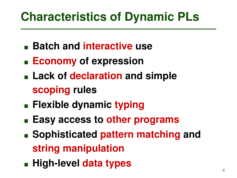# **Characteristics of Dynamic PLs**

- **Batch and interactive use**
- **Economy of expression**
- **Lack of declaration and simple scoping rules**
- **Flexible dynamic typing**
- **Easy access to other programs**
- **Sophisticated pattern matching and string manipulation**
- **High-level data types**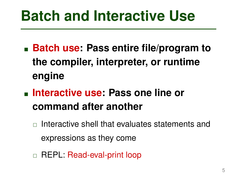# **Batch and Interactive Use**

- **Batch use: Pass entire file/program to the compiler, interpreter, or runtime engine**
- **Interactive use: Pass one line or command after another**
	- $\Box$  Interactive shell that evaluates statements and expressions as they come
	- REPL: Read-eval-print loop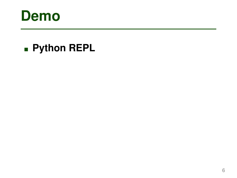

# **Python REPL**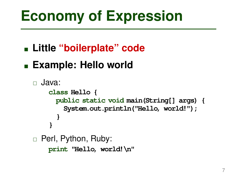# **Economy of Expression**

**Little "boilerplate" code**

# **Example: Hello world**

```
 Java:
□ Perl, Python, Ruby:
    class Hello {
      public static void main(String[] args) {
        System.out.println("Hello, world!");
      }
    }
```
**print "Hello, world!\n"**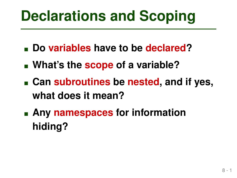- **Do variables have to be declared?**
- **What's the scope of a variable?**
- **Declarations and Scoping**<br>
 Do variables have to be declared?<br>
 What's the scope of a variable?<br>
 Can subroutines be nested, and if yes,<br>
what does it mean?<br>
 Any namespaces for information<br>
hiding? **Can subroutines be nested, and if yes, what does it mean?**
- **Any namespaces for information hiding?**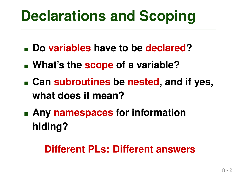- **Do variables have to be declared?**
- **What's the scope of a variable?**
- **Declarations and Scoping**<br>
 Do variables have to be declared?<br>
 What's the scope of a variable?<br>
 Can subroutines be nested, and if yes,<br>
what does it mean?<br>
 Any namespaces for information<br>
hiding?<br>
Different PLs: Di **Can subroutines be nested, and if yes, what does it mean?**
- **Any namespaces for information hiding?**

# **Different PLs: Different answers**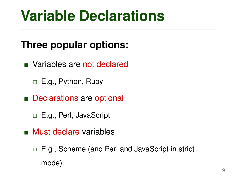# **Variable Declarations**

# **Three popular options:**

- **Nariables are not declared** 
	- □ E.g., Python, Ruby
- Declarations are optional
	- □ E.g., Perl, JavaScript,
- **Must declare variables** 
	- □ E.g., Scheme (and Perl and JavaScript in strict mode)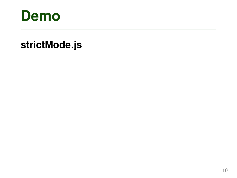

# **Demo**<br>strictMode.js<br>and the contract of the contract of the contract of the contract of the contract of the contract of the contract of the contract of the contract of the contract of the contract of the contract of the c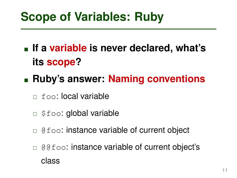- **Scope of Variables: Ruby**<br>
 If a variable is never declared, what's<br>
its scope?<br>
 Ruby's answer: Naming conventions<br>
□ foo: local variable<br>
□ \$foo: global variable<br>
□ @foo: instance variable of current object<br>
□ @foo: **If a variable is never declared, what's its scope?**
- **Ruby's answer: Naming conventions**
	- foo: local variable
	- **Example 3 foo: global variable**
	- $\Box$  @ foo: instance variable of current object
	- $\Box$  @@foo: instance variable of current object's class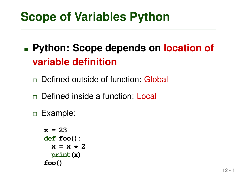# **Scope of Variables Python**<br>
■ Python: Scope depends on location of<br>
variable definition<br>
□ Defined outside of function: Global<br>
□ Defined inside a function: Local<br>
□ Example:<br>  $x = 23$ <br>
def foo() :<br>  $x = x * 2$ <br>
print(x)<br>foo **Python: Scope depends on location of variable definition**

- □ Defined outside of function: Global
- Defined inside a function: Local
- Example:

```
x = 23
def foo():
  x = x \times 2print(x)
foo()
```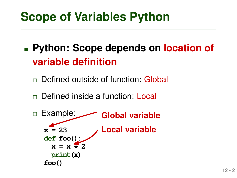# **Python: Scope depends on location of variable definition**

- Defined outside of function: Global
- Defined inside a function: Local

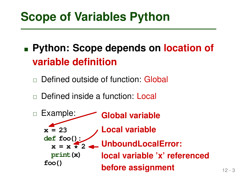# **Python: Scope depends on location of variable definition**

- Defined outside of function: Global
- Defined inside a function: Local

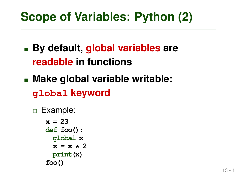- **By default, global variables are readable in functions**
- **Scope of Variables: Python (2)**<br>
 By default, global variables are<br>
readable in functions<br>
 Make global variable writable:<br>
global keyword<br>
□ Example:<br> **x** = 23<br>
def foo():<br>
global x<br> **x** = x \* 2<br>
print(x)<br>
foo() **Make global variable writable: global keyword**
	- Example: **x = 23 def foo(): global x**  $x = x \times 2$ **print(x) foo()**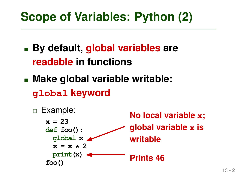- **By default, global variables are readable in functions**
- **Make global variable writable: global keyword**

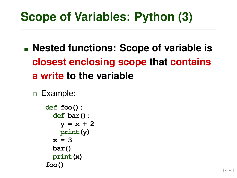**Scope of Variables: Python (3)**<br>
■ Nested functions: Scope of variable is<br>
closest enclosing scope that contains<br>
a write to the variable<br>
□ Example:<br>
def foo():<br>
def bar();<br>
y = x + 2<br>
print(y)<br>
x = 3<br>
bar()<br>
print(x)<br>f **Nested functions: Scope of variable is closest enclosing scope that contains a write to the variable**

```
 Example:
   def foo():
     def bar():
       y = x + 2
       print(y)
     x = 3
     bar()
```
**print(x)**

**foo()**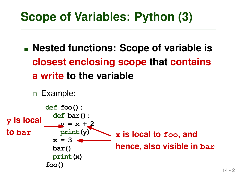**Nested functions: Scope of variable is closest enclosing scope that contains a write to the variable**

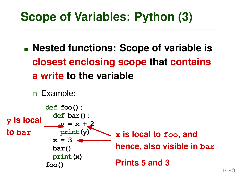**Nested functions: Scope of variable is closest enclosing scope that contains a write to the variable**

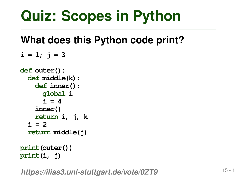```
Quiz: Scopes in Python<br>
What does this Python code print?<br>
i = 1; j = 3<br>
\frac{def \operatorname{outer}(i)}{def \operatorname{middle}(k)}:<br>
\frac{def \operatorname{inner}(i)}{def \operatorname{inner}(i)}<br>
\frac{global i}{i}<br>
i = 4<br>
\operatorname{inner}(i)<br>
return i, j, k<br>
i = 2<br>
return middle(j)<br>
print (outer())<br>
pr
i = 1; j = 3def outer():
     def middle(k):
          def inner():
               global i
                i = 4inner()
          return i, j, k
     i = 2return middle(j)
print(outer())
```

```
print(i, j)
https://ilias3.uni-stuttgart.de/vote/0ZT9
```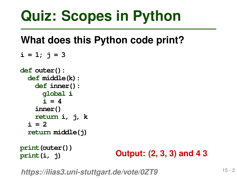```
Quiz: Scopes in Python<br>
What does this Python code print?<br>
i = 1; j = 3<br>
\frac{def \operatorname{outer}(i)}{def \operatorname{middle}(k)}:<br>
\frac{def \operatorname{middle}(k)}{def \operatorname{inner}(i)}<br>
\frac{d\operatorname{total}}{i} i<br>
i = 4<br>
\operatorname{inner}(i)<br>
return i, j, k<br>
i = 2<br>
return middle(j)<br>
print (outer()
i = 1; j = 3def outer():
     def middle(k):
          def inner():
               global i
                i = 4inner()
          return i, j, k
     i = 2return middle(j)
print(outer())
```
**print(i, j)**

*https://ilias3.uni-stuttgart.de/vote/0ZT9* **Output: (2, 3, 3) and 4 3**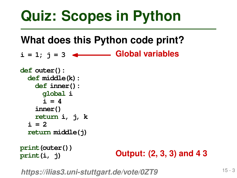$i = 1; j = 3$   $\longleftarrow$  Global variables

```
Quiz: Scopes in Python<br>
What does this Python code print?<br>
i = 1; j = 3 <br>
def outer():<br>
def middle(k):<br>
def middle(k):<br>
def inner():<br>
global i<br>
i = 4<br>
inner()<br>
return i, j, k<br>
i = 2<br>
return middle(j)<br>
print (outer())
def outer():
     def middle(k):
           def inner():
                 global i
                 i = 4inner()
           return i, j, k
      i = 2return middle(j)
i = 1; j = 3<br>
def outer():<br>
def middle(k):<br>
def miner():<br>
global i<br>
i = 4<br>
inner()<br>
return i, j, k<br>
i = 2<br>
return middle(j)<br>
print(outer())<br>
print(i, j)<br>
Output: (2, 3, 3) and 4 3<br>
https://ilias3.uni-stuttgart
```
### **print(outer()) print(i, j)**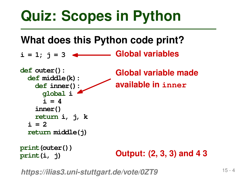$i = 1; j = 3$ 

**Quiz: Scopes in Python**<br>
What does this Python code print?<br>  $i = 1; j = 3$  <br> **Cologies**<br> **Cologies**<br> **Cologies**<br> **Cologies**<br> **Cologies**<br> **Cologies**<br> **Cologies**<br> **Cologies**<br> **Cologies**<br> **Cologies**<br> **Cologies**<br> **Cologies**<br> **C def outer(): def middle(k): def inner(): global i**  $i = 4$ **inner() return i, j, k**  $i = 2$ **return middle(j)**  $\begin{array}{ll}\n\textbf{i} = 1; & \textbf{j} = 3 \quad \textbf{4} \quad \text{Global variables} \\
\text{def outer()}: & \text{Global variable made} \\
\text{def inner()}: & \text{available in inner} \\
\text{global i} & \text{i} = 4 \\
\text{inner()} \\
\text{return i, j, k} \\
\text{i = 2} \\
\text{return middle(j)} \\
\text{print(outer())} & \text{Output: (2, 3, 3) and 4 3} \\
\text{https://liias3.uni-stutigart.de/vote/0ZT9}\n\end{array}$ **Global variable made available in inner**

**print(outer()) print(i, j)**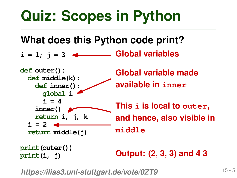**i = 1; j = 3**



**print(outer()) print(i, j)**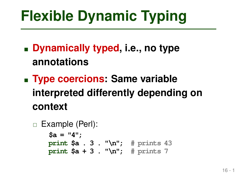- **Dynamically typed, i.e., no type annotations**
- 16 1 **Flexible Dynamic Typing Type coercions: Same variable interpreted differently depending on context**

```
 Example (Perl):
    $a = "4";
    print $a . 3 . "\n"; # prints 43
    print $a + 3 . "\n"; # prints 7
```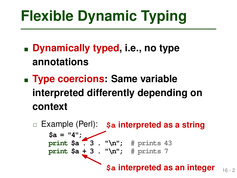- **Dynamically typed, i.e., no type annotations**
- **Type coercions: Same variable interpreted differently depending on context**

**Flexible Dynamic Typing**<br> **Example 19 - 2 16 - 2 16 - 2 16 - 2 16 - 2 16 - 2 16 - 2 16 - 2 16 - 2 16 - 2 16 - 2 16 - 2 16 - 2 16 - 2 16 - 2 16 - 2 16 - 2 16 - 2 16 - 2 16 - 2 16 - 2 16 - 2 16 - 2 16 - 2 16 - 2 16 - 2 16 -** Example (Perl): **\$a interpreted as a string \$a = "4"; print \$a . 3 . "\n"; # prints 43 print \$a + 3 . "\n"; # prints 7 \$a interpreted as an integer**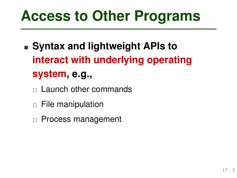- 17 1 **Access to Other Programs Syntax and lightweight APIs to interact with underlying operating system, e.g.,**
	- $\Box$  Launch other commands
	- $\Box$  File manipulation
	- $\Box$  Process management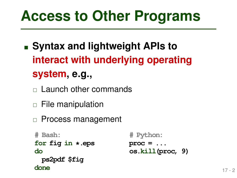- 17 2 **Access to Other Programs Syntax and lightweight APIs to interact with underlying operating system, e.g.,**
	- $\Box$  Launch other commands
	- $\Box$  File manipulation
	- □ Process management
	- **# Bash: for fig in \*.eps do ps2pdf \$fig done**

```
# Python:
proc = ...
os.kill(proc, 9)
```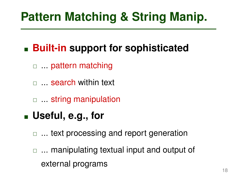# **Built-in support for sophisticated**

- □ pattern matching
- □ ... search within text
- $\Box$  ... string manipulation

# **Useful, e.g., for**

- □ ... text processing and report generation
- **Pattern Matching & String Manip.**<br>
 **Built-in support for sophisticated**<br>
 ... pattern matching<br>
 ... search within text<br>
 ... string manipulation<br>
 **Useful, e.g., for**<br>
 ... text processing and report generation<br>  $\Box$  ... manipulating textual input and output of external programs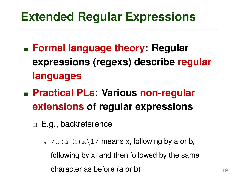- **Extended Regular Expressions**<br>
 **Formal language theory: Regular expressions (regexs) describe regular languages**<br>
 **Practical PLs: Various non-regular extensions of regular expressions**<br>
 **E.g., backreference**<br>
 /x( **Formal language theory: Regular expressions (regexs) describe regular languages**
- **Practical PLs: Various non-regular extensions of regular expressions**
	- □ E.g., backreference
		- $/x(a|b)x\1/meansx$ , following by a or b, following by x, and then followed by the same character as before (a or b)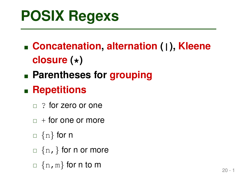- **POSIX Regexs**<br>
 **Concatenation, alternation (1), Kleene**<br> **closure (\*)**<br>
 **Parentheses for grouping**<br>
 **Repetitions**<br>
 ? for zero or one<br>
 + for one or more<br>
 {n} for n<br>
 {n,} for n or more<br>
 {n,} for n or more<br> **Concatenation, alternation (|), Kleene closure (\*)**
- **Parentheses for grouping**

# **Repetitions**

- $\Box$  ? for zero or one
- $\Box$  + for one or more
- $\Box$  {n} for n
- $\Box$  {n, } for n or more
- $\Box$  {n, m} for n to m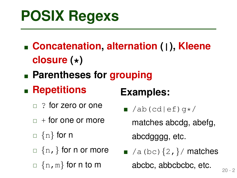- **POSIX Regexs**<br> **Examples:**<br> **Concatenation, alternation (1), Kleene**<br> **closure (\*)**<br> **Parentheses for grouping<br>
<b>Examples:**<br>  $\frac{1}{2}$  ? for zero or one<br>  $\frac{1}{2}$  + for one or more<br>  $\frac{1}{2}$  + for one or more<br>  $\frac{1}{2}$  **Concatenation, alternation (|), Kleene closure (\*)**
- **Parentheses for grouping**

# **Repetitions**

- $\Box$  ? for zero or one
- $\Box$  + for one or more
- $\Box$  {n} for n
- $\Box$  {n, } for n or more
- $\Box$  {n, m} for n to m

# **Examples:**

- $\blacksquare$  /ab(cd|ef)q\*/ matches abcdg, abefg, abcdgggg, etc.
- $\blacksquare$  /a (bc)  $\{2, \}$ / matches abcbc, abbcbcbc, etc.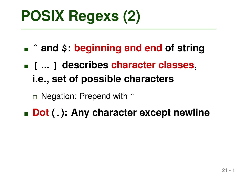- **ˆ and \$: beginning and end of string**
- **POSIX Regexs (2)**<br>
 ^ and \$: beginning and end of string<br>
 [ ... ] describes character classes,<br>
i.e., set of possible characters<br>
□ Negation: Prepend with ^<br>
 Dot ( . ): Any character except newline **[ ... ] describes character classes, i.e., set of possible characters**
	- $\Box$  Negation: Prepend with  $\hat{ }$
- **Dot (.): Any character except newline**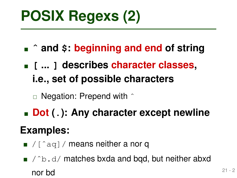- **ˆ and \$: beginning and end of string**
- **POSIX Regexs (2)**<br>
 ^ and \$: beginning and end of string<br>
 [ ... ] describes character classes,<br>
i.e., set of possible characters<br>  **Negation: Prepend with ^**<br>
 Dot (.): Any character except newline<br>
Examples:<br>
 /[^a **[ ... ] describes character classes, i.e., set of possible characters**
	- $\Box$  Negation: Prepend with  $\hat{ }$
- **Dot (.): Any character except newline**

# **Examples:**

 $\blacksquare$  / [^aq] / means neither a nor q

 $\blacksquare$  / ^b.d/ matches bxda and bqd, but neither abxd nor bd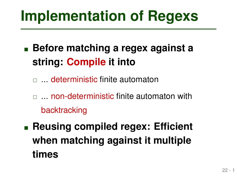- **Before matching a regex against a string: Compile it into**
	- $\Box$  deterministic finite automaton
	- $\Box$  ... non-deterministic finite automaton with backtracking
- **Implementation of Regexs**<br>
 Before matching a regex against a<br>
string: Compile it into<br> **a** ... deterministic finite automaton<br> **a** ... non-deterministic finite automaton with<br>
backtracking<br>
 Reusing compiled regex: Eff **Reusing compiled regex: Efficient when matching against it multiple times**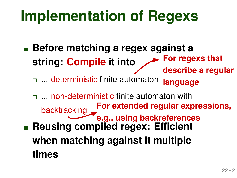**Before matching a regex against a string: Compile it into For regexs that describe a regular**

 $\Box$  deterministic finite automaton **language**

**Implementation of Regexs**<br> **Exercise 3 Assumption**<br> **Exercise 3 Assumption**<br> **Exercise 3 Assumption**<br> **Exercise 4 Assumption**<br> **Exercise 4 Assumption**<br> **Exercise 4 Assumption**<br> **Exercise 4 Assumption**<br> **Examptementation**<br>  $\Box$  ... non-deterministic finite automaton with backtracking **Reusing compiled regex: Efficient when matching against it multiple times For extended regular expressions, e.g., using backreferences**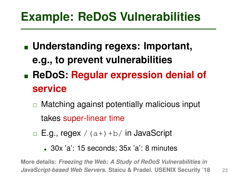- **Example: ReDoS Vulnerabilities**<br>
 **Understanding regexs: Important,<br>
e.g., to prevent vulnerabilities**<br>
 **ReDoS: Regular expression denial of**<br> **service**<br>
□ Matching against potentially malicious input<br>
takes super-lin **Understanding regexs: Important, e.g., to prevent vulnerabilities**
- **ReDoS: Regular expression denial of service**
	- $\Box$  Matching against potentially malicious input takes super-linear time
	- $\Box$  E.g., regex / (a+) +b/ in JavaScript
		- 30x 'a': 15 seconds; 35x 'a': 8 minutes

**More details:** *Freezing the Web: A Study of ReDoS Vulnerabilities in JavaScript-based Web Servers***. Staicu & Pradel. USENIX Security '18**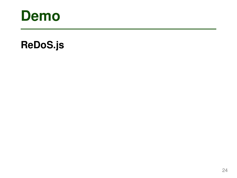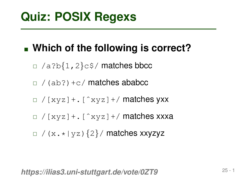# **Quiz: POSIX Regexs**<br>
<br> **Example 10 - 1 / A** Philosopher and the following is correct?<br>
<br>  $\frac{1}{2}$  / (ab?) +c/ matches ababcc<br>  $\frac{1}{2}$  / (ab?) +c/ matches ababcc<br>  $\frac{1}{2}$  / (xyz] +. [^xyz] +/ matches xxxa<br>  $\frac{1}{2}$  **Which of the following is correct?**

- $\Box$  /a?b{1,2}c\$/ matches bbcc
- $\Box$  / (ab?) +c/ matches ababcc
- $\Box$  / [xyz] +. [^xyz] +/ matches yxx
- $\Box$  / [xyz] +. [ ^xyz] +/ matches xxxa
- $\Box$  /(x.\*|yz){2}/ matches xxyzyz

*https://ilias3.uni-stuttgart.de/vote/0ZT9*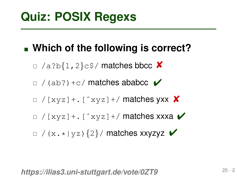# **Quiz: POSIX Regexs**<br>
<br> **Example 1998 - 2 / Which of the following is correct?**<br>
<br>  $\frac{1}{2}$  / (ab?) +c/ matches ababcc **/**<br>  $\frac{1}{2}$  / (ab?) +c/ matches ababcc **/**<br>  $\frac{1}{2}$  / (xyz] + . [^xyz] +/ matches xxxa **/**<br>  $\frac{$ **Which of the following is correct?**

- $\Box$  /a?b{1,2}c\$/ matches bbcc X
- $\Box$  /(ab?) +c/ matches ababcc  $\vee$
- $\Box$  / [xyz] +. [^xyz] +/ matches yxx  $\bm{x}$
- $\Box$  / [xyz] +. [^xyz] +/ matches xxxa  $\blacktriangleright$
- $\Box$  /(ab?)+c/ **matches ababcc**  $\blacktriangleright$ <br> $\Box$ /(ab?)+c/ **matches ababcc**  $\blacktriangleright$ <br> $\Box$ /[xyz]+. [^xyz]+/ **matches xx**<br> $\Box$ /(x.\*|yz){2}/ **matches xxyzyz** ✔

*https://ilias3.uni-stuttgart.de/vote/0ZT9*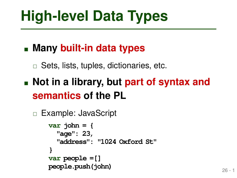# **Many built-in data types**

 $\Box$  Sets, lists, tuples, dictionaries, etc.

# **Not in a library, but part of syntax and semantics of the PL**

```
 Example: JavaScript
```

```
26 - 1 High-level Data Types
     var john = {
       "age": 23,
       "address": "1024 Oxford St"
      }
      var people =[]
     people.push(john)
```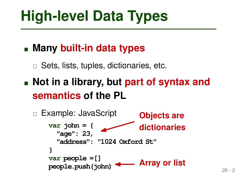# **Many built-in data types**

 $\Box$  Sets, lists, tuples, dictionaries, etc.

 **Not in a library, but part of syntax and semantics of the PL**

```
High-level Data Types<br>
Example 10 - 2 11:<br>
Example: JavaScript<br>
Example: JavaScript<br>
Example: JavaScript<br>
PL<br>
Example: JavaScript<br>
PL<br>
Example: JavaScript<br>
PL<br>
PL<br>
PEXAMPLE: PL<br>
PEXAMPLE: PL<br>

     □ Example: JavaScript
             var john = {
                  "age": 23,
                  "address": "1024 Oxford St"
              }
             var people =[]
             people.push(john)
                                                           Objects are
                                                            dictionaries Array or list
```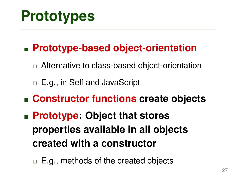# **Prototype-based object-orientation**

- □ Alternative to class-based object-orientation
- □ E.g., in Self and JavaScript
- **Constructor functions create objects**
- **Prototypes**<br>
 Prototype-based object-orientation<br>
 Alternative to class-based object-orientation<br>
 E.g., in Self and JavaScript<br>
 Constructor functions create objects<br>
 Prototype: Object that stores<br>
properties avai **Prototype: Object that stores properties available in all objects created with a constructor**
	- $\Box$  E.g., methods of the created objects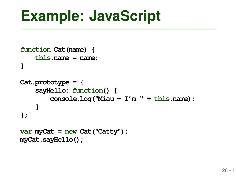```
Example: JavaScript<br>
function Cat (name) {<br>
this.name = name;<br>
}<br>Cat.prototype = {<br>
sayHello: function() {<br>
console.log("Miau – I'm " + this.name);<br>
}<br>
}<br>
yar myCat = new Cat ("Catty");<br>
myCat.sayHello();<br>
28-1
function Cat(name) {
       this.name = name;
 }
Cat.prototype = {
       sayHello: function() {
               console.log("Miau - I'm " + this.name);
        }
};
var myCat = new Cat("Catty");
myCat.sayHello();
```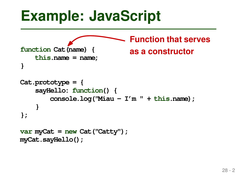```
28 - 2 Example: JavaScript
function Cat(name) {
   this.name = name;
}
Cat.prototype = {
   sayHello: function() {
       console.log("Miau - I'm " + this.name);
    }
};
var myCat = new Cat("Catty");
myCat.sayHello();
                          Function that serves
                          as a constructor
```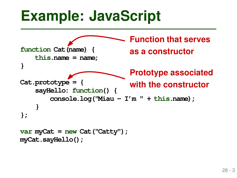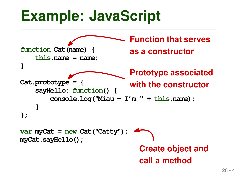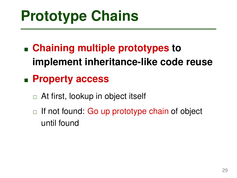- **Prototype Chains**<br>
 Chaining multiple prototypes to<br>
Inplement inheritance-like code reuse<br>
 Property access<br>
 At first, lookup in object itself<br>
 If not found: Go up prototype chain of object<br>
until found **Chaining multiple prototypes to implement inheritance-like code reuse**
- **Property access**
	- □ At first, lookup in object itself
	- $\Box$  If not found: Go up prototype chain of object until found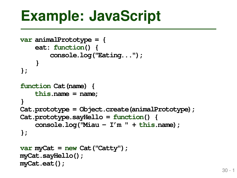```
Example: JavaScript<br>
var animalPrototype = {<br>
eat: function() {<br>
console.log("Eating...");<br>
}<br>
function Cat (name) {<br>
this.name = name;<br>
}<br>
Cat.prototype = Object.create(animalPrototype);<br>
Cat.prototype.sayHello = functi
var animalPrototype = {
      eat: function() {
            console.log("Eating...");
      }
};
function Cat(name) {
      this.name = name;
}
Cat.prototype = Object.create(animalPrototype);
Cat.prototype.sayHello = function() {
      console.log("Miau - I'm " + this.name);
};
var myCat = new Cat("Catty");
myCat.sayHello();
myCat.eat();
```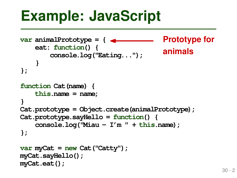```
Example: JavaScript<br>
var animalPrototype = { 4 Prototype for<br>
eat: function() {<br>
console.log("Eating...");<br>
}<br>
function Cat (name) {<br>
this.name = name;<br>
}<br>
Cat.prototype = Object.create(animalPrototype);<br>
Cat.prototype
var animalPrototype = {
      eat: function() {
            console.log("Eating...");
      }
};
function Cat(name) {
      this.name = name;
}
Cat.prototype = Object.create(animalPrototype);
Cat.prototype.sayHello = function() {
      console.log("Miau - I'm " + this.name);
};
var myCat = new Cat("Catty");
myCat.sayHello();
myCat.eat();
                                                          Prototype for
                                                          animals
```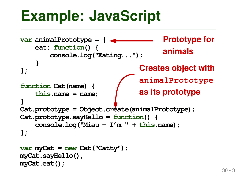```
Example: JavaScript<br>
var animalPrototype = { 4 Prototype for<br>
eat: function() {<br>
console.log("Eating..."); animals<br>
}<br>
}<br>
function Cat (name) {<br>
<br>
a imalPrototype<br>
this.name = name;<br>
Cat.prototype = Object.create(ani
var animalPrototype = {
     eat: function() {
           console.log("Eating...");
      }
};
function Cat(name) {
     this.name = name;
}
Cat.prototype = Object.create(animalPrototype);
Cat.prototype.sayHello = function() {
     console.log("Miau - I'm " + this.name);
};
var myCat = new Cat("Catty");
myCat.sayHello();
myCat.eat();
                                                       Prototype for
                                                       animals
                                              Creates object with
                                              animalPrototype
                                              as its prototype
```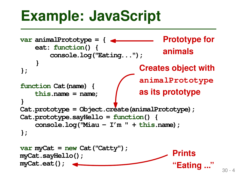```
Example: JavaScript<br>
var animalPrototype = { 4 example: Prototype for<br>
eat: function (<br>
console.log("Eating..."); animals<br>
}<br>
}<br>
function Cat (name) { animalPrototype<br>
this.name = name; as its prototype<br>
Cat.prototyp
var animalPrototype = {
     eat: function() {
           console.log("Eating...");
      }
};
function Cat(name) {
     this.name = name;
}
Cat.prototype = Object.create(animalPrototype);
Cat.prototype.sayHello = function() {
     console.log("Miau - I'm " + this.name);
};
var myCat = new Cat("Catty");
myCat.sayHello();
myCat.eat();
                                                       Prototype for
                                                       animals
                                              Creates object with
                                              animalPrototype
                                              as its prototype
                                                           Prints
                                                           "Eating ..."
```